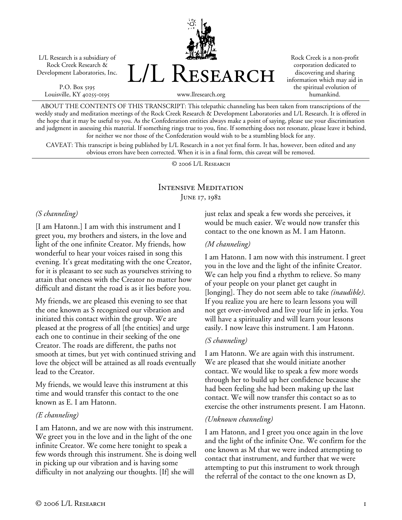L/L Research is a subsidiary of Rock Creek Research & Development Laboratories, Inc.

P.O. Box 5195 Louisville, KY 40255-0195 L/L Research

Rock Creek is a non-profit corporation dedicated to discovering and sharing information which may aid in the spiritual evolution of humankind.

www.llresearch.org

ABOUT THE CONTENTS OF THIS TRANSCRIPT: This telepathic channeling has been taken from transcriptions of the weekly study and meditation meetings of the Rock Creek Research & Development Laboratories and L/L Research. It is offered in the hope that it may be useful to you. As the Confederation entities always make a point of saying, please use your discrimination and judgment in assessing this material. If something rings true to you, fine. If something does not resonate, please leave it behind, for neither we nor those of the Confederation would wish to be a stumbling block for any.

CAVEAT: This transcript is being published by L/L Research in a not yet final form. It has, however, been edited and any obvious errors have been corrected. When it is in a final form, this caveat will be removed.

© 2006 L/L Research

## Intensive Meditation JUNE 17, 1982

#### *(S channeling)*

[I am Hatonn.] I am with this instrument and I greet you, my brothers and sisters, in the love and light of the one infinite Creator. My friends, how wonderful to hear your voices raised in song this evening. It's great meditating with the one Creator, for it is pleasant to see such as yourselves striving to attain that oneness with the Creator no matter how difficult and distant the road is as it lies before you.

My friends, we are pleased this evening to see that the one known as S recognized our vibration and initiated this contact within the group. We are pleased at the progress of all [the entities] and urge each one to continue in their seeking of the one Creator. The roads are different, the paths not smooth at times, but yet with continued striving and love the object will be attained as all roads eventually lead to the Creator.

My friends, we would leave this instrument at this time and would transfer this contact to the one known as E. I am Hatonn.

## *(E channeling)*

I am Hatonn, and we are now with this instrument. We greet you in the love and in the light of the one infinite Creator. We come here tonight to speak a few words through this instrument. She is doing well in picking up our vibration and is having some difficulty in not analyzing our thoughts. [If] she will

just relax and speak a few words she perceives, it would be much easier. We would now transfer this contact to the one known as M. I am Hatonn.

#### *(M channeling)*

I am Hatonn. I am now with this instrument. I greet you in the love and the light of the infinite Creator. We can help you find a rhythm to relieve. So many of your people on your planet get caught in [longing]. They do not seem able to take *(inaudible)*. If you realize you are here to learn lessons you will not get over-involved and live your life in jerks. You will have a spirituality and will learn your lessons easily. I now leave this instrument. I am Hatonn.

## *(S channeling)*

I am Hatonn. We are again with this instrument. We are pleased that she would initiate another contact. We would like to speak a few more words through her to build up her confidence because she had been feeling she had been making up the last contact. We will now transfer this contact so as to exercise the other instruments present. I am Hatonn.

## *(Unknown channeling)*

I am Hatonn, and I greet you once again in the love and the light of the infinite One. We confirm for the one known as M that we were indeed attempting to contact that instrument, and further that we were attempting to put this instrument to work through the referral of the contact to the one known as D,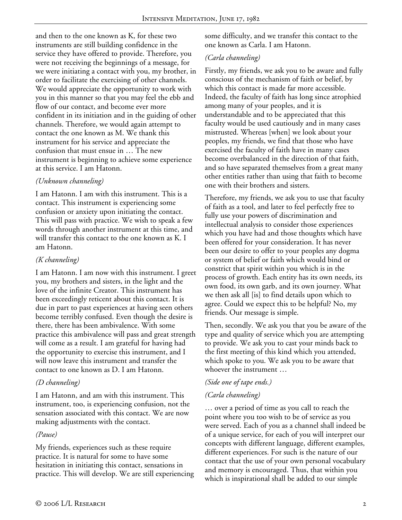and then to the one known as K, for these two instruments are still building confidence in the service they have offered to provide. Therefore, you were not receiving the beginnings of a message, for we were initiating a contact with you, my brother, in order to facilitate the exercising of other channels. We would appreciate the opportunity to work with you in this manner so that you may feel the ebb and flow of our contact, and become ever more confident in its initiation and in the guiding of other channels. Therefore, we would again attempt to contact the one known as M. We thank this instrument for his service and appreciate the confusion that must ensue in … The new instrument is beginning to achieve some experience at this service. I am Hatonn.

## *(Unknown channeling)*

I am Hatonn. I am with this instrument. This is a contact. This instrument is experiencing some confusion or anxiety upon initiating the contact. This will pass with practice. We wish to speak a few words through another instrument at this time, and will transfer this contact to the one known as K. I am Hatonn.

## *(K channeling)*

I am Hatonn. I am now with this instrument. I greet you, my brothers and sisters, in the light and the love of the infinite Creator. This instrument has been exceedingly reticent about this contact. It is due in part to past experiences at having seen others become terribly confused. Even though the desire is there, there has been ambivalence. With some practice this ambivalence will pass and great strength will come as a result. I am grateful for having had the opportunity to exercise this instrument, and I will now leave this instrument and transfer the contact to one known as D. I am Hatonn.

## *(D channeling)*

I am Hatonn, and am with this instrument. This instrument, too, is experiencing confusion, not the sensation associated with this contact. We are now making adjustments with the contact.

## *(Pause)*

My friends, experiences such as these require practice. It is natural for some to have some hesitation in initiating this contact, sensations in practice. This will develop. We are still experiencing some difficulty, and we transfer this contact to the one known as Carla. I am Hatonn.

## *(Carla channeling)*

Firstly, my friends, we ask you to be aware and fully conscious of the mechanism of faith or belief, by which this contact is made far more accessible. Indeed, the faculty of faith has long since atrophied among many of your peoples, and it is understandable and to be appreciated that this faculty would be used cautiously and in many cases mistrusted. Whereas [when] we look about your peoples, my friends, we find that those who have exercised the faculty of faith have in many cases become overbalanced in the direction of that faith, and so have separated themselves from a great many other entities rather than using that faith to become one with their brothers and sisters.

Therefore, my friends, we ask you to use that faculty of faith as a tool, and later to feel perfectly free to fully use your powers of discrimination and intellectual analysis to consider those experiences which you have had and those thoughts which have been offered for your consideration. It has never been our desire to offer to your peoples any dogma or system of belief or faith which would bind or constrict that spirit within you which is in the process of growth. Each entity has its own needs, its own food, its own garb, and its own journey. What we then ask all [is] to find details upon which to agree. Could we expect this to be helpful? No, my friends. Our message is simple.

Then, secondly. We ask you that you be aware of the type and quality of service which you are attempting to provide. We ask you to cast your minds back to the first meeting of this kind which you attended, which spoke to you. We ask you to be aware that whoever the instrument …

# *(Side one of tape ends.)*

# *(Carla channeling)*

… over a period of time as you call to reach the point where you too wish to be of service as you were served. Each of you as a channel shall indeed be of a unique service, for each of you will interpret our concepts with different language, different examples, different experiences. For such is the nature of our contact that the use of your own personal vocabulary and memory is encouraged. Thus, that within you which is inspirational shall be added to our simple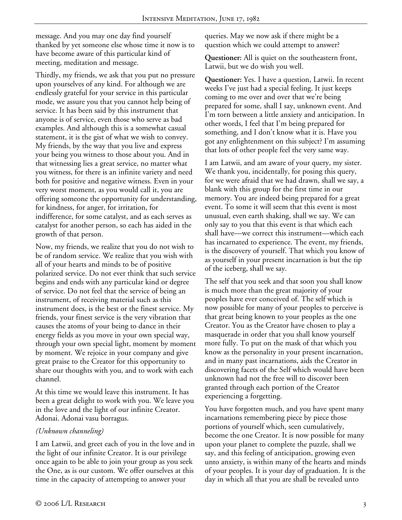message. And you may one day find yourself thanked by yet someone else whose time it now is to have become aware of this particular kind of meeting, meditation and message.

Thirdly, my friends, we ask that you put no pressure upon yourselves of any kind. For although we are endlessly grateful for your service in this particular mode, we assure you that you cannot help being of service. It has been said by this instrument that anyone is of service, even those who serve as bad examples. And although this is a somewhat casual statement, it is the gist of what we wish to convey. My friends, by the way that you live and express your being you witness to those about you. And in that witnessing lies a great service, no matter what you witness, for there is an infinite variety and need both for positive and negative witness. Even in your very worst moment, as you would call it, you are offering someone the opportunity for understanding, for kindness, for anger, for irritation, for indifference, for some catalyst, and as each serves as catalyst for another person, so each has aided in the growth of that person.

Now, my friends, we realize that you do not wish to be of random service. We realize that you wish with all of your hearts and minds to be of positive polarized service. Do not ever think that such service begins and ends with any particular kind or degree of service. Do not feel that the service of being an instrument, of receiving material such as this instrument does, is the best or the finest service. My friends, your finest service is the very vibration that causes the atoms of your being to dance in their energy fields as you move in your own special way, through your own special light, moment by moment by moment. We rejoice in your company and give great praise to the Creator for this opportunity to share our thoughts with you, and to work with each channel.

At this time we would leave this instrument. It has been a great delight to work with you. We leave you in the love and the light of our infinite Creator. Adonai. Adonai vasu borragus.

## *(Unknown channeling)*

I am Latwii, and greet each of you in the love and in the light of our infinite Creator. It is our privilege once again to be able to join your group as you seek the One, as is our custom. We offer ourselves at this time in the capacity of attempting to answer your

**Questioner:** All is quiet on the southeastern front, Latwii, but we do wish you well.

**Questioner:** Yes. I have a question, Latwii. In recent weeks I've just had a special feeling. It just keeps coming to me over and over that we're being prepared for some, shall I say, unknown event. And I'm torn between a little anxiety and anticipation. In other words, I feel that I'm being prepared for something, and I don't know what it is. Have you got any enlightenment on this subject? I'm assuming that lots of other people feel the very same way.

I am Latwii, and am aware of your query, my sister. We thank you, incidentally, for posing this query, for we were afraid that we had drawn, shall we say, a blank with this group for the first time in our memory. You are indeed being prepared for a great event. To some it will seem that this event is most unusual, even earth shaking, shall we say. We can only say to you that this event is that which each shall have—we correct this instrument—which each has incarnated to experience. The event, my friends, is the discovery of yourself. That which you know of as yourself in your present incarnation is but the tip of the iceberg, shall we say.

The self that you seek and that soon you shall know is much more than the great majority of your peoples have ever conceived of. The self which is now possible for many of your peoples to perceive is that great being known to your peoples as the one Creator. You as the Creator have chosen to play a masquerade in order that you shall know yourself more fully. To put on the mask of that which you know as the personality in your present incarnation, and in many past incarnations, aids the Creator in discovering facets of the Self which would have been unknown had not the free will to discover been granted through each portion of the Creator experiencing a forgetting.

You have forgotten much, and you have spent many incarnations remembering piece by piece those portions of yourself which, seen cumulatively, become the one Creator. It is now possible for many upon your planet to complete the puzzle, shall we say, and this feeling of anticipation, growing even unto anxiety, is within many of the hearts and minds of your peoples. It is your day of graduation. It is the day in which all that you are shall be revealed unto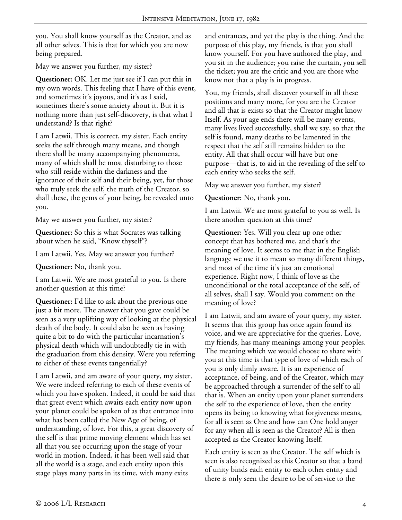you. You shall know yourself as the Creator, and as all other selves. This is that for which you are now being prepared.

May we answer you further, my sister?

**Questioner:** OK. Let me just see if I can put this in my own words. This feeling that I have of this event, and sometimes it's joyous, and it's as I said, sometimes there's some anxiety about it. But it is nothing more than just self-discovery, is that what I understand? Is that right?

I am Latwii. This is correct, my sister. Each entity seeks the self through many means, and though there shall be many accompanying phenomena, many of which shall be most disturbing to those who still reside within the darkness and the ignorance of their self and their being, yet, for those who truly seek the self, the truth of the Creator, so shall these, the gems of your being, be revealed unto you.

May we answer you further, my sister?

**Questioner:** So this is what Socrates was talking about when he said, "Know thyself"?

I am Latwii. Yes. May we answer you further?

**Questioner:** No, thank you.

I am Latwii. We are most grateful to you. Is there another question at this time?

**Questioner:** I'd like to ask about the previous one just a bit more. The answer that you gave could be seen as a very uplifting way of looking at the physical death of the body. It could also be seen as having quite a bit to do with the particular incarnation's physical death which will undoubtedly tie in with the graduation from this density. Were you referring to either of these events tangentially?

I am Latwii, and am aware of your query, my sister. We were indeed referring to each of these events of which you have spoken. Indeed, it could be said that that great event which awaits each entity now upon your planet could be spoken of as that entrance into what has been called the New Age of being, of understanding, of love. For this, a great discovery of the self is that prime moving element which has set all that you see occurring upon the stage of your world in motion. Indeed, it has been well said that all the world is a stage, and each entity upon this stage plays many parts in its time, with many exits

and entrances, and yet the play is the thing. And the purpose of this play, my friends, is that you shall know yourself. For you have authored the play, and you sit in the audience; you raise the curtain, you sell the ticket; you are the critic and you are those who know not that a play is in progress.

You, my friends, shall discover yourself in all these positions and many more, for you are the Creator and all that is exists so that the Creator might know Itself. As your age ends there will be many events, many lives lived successfully, shall we say, so that the self is found, many deaths to be lamented in the respect that the self still remains hidden to the entity. All that shall occur will have but one purpose—that is, to aid in the revealing of the self to each entity who seeks the self.

May we answer you further, my sister?

**Questioner:** No, thank you.

I am Latwii. We are most grateful to you as well. Is there another question at this time?

**Questioner:** Yes. Will you clear up one other concept that has bothered me, and that's the meaning of love. It seems to me that in the English language we use it to mean so many different things, and most of the time it's just an emotional experience. Right now, I think of love as the unconditional or the total acceptance of the self, of all selves, shall I say. Would you comment on the meaning of love?

I am Latwii, and am aware of your query, my sister. It seems that this group has once again found its voice, and we are appreciative for the queries. Love, my friends, has many meanings among your peoples. The meaning which we would choose to share with you at this time is that type of love of which each of you is only dimly aware. It is an experience of acceptance, of being, and of the Creator, which may be approached through a surrender of the self to all that is. When an entity upon your planet surrenders the self to the experience of love, then the entity opens its being to knowing what forgiveness means, for all is seen as One and how can One hold anger for any when all is seen as the Creator? All is then accepted as the Creator knowing Itself.

Each entity is seen as the Creator. The self which is seen is also recognized as this Creator so that a band of unity binds each entity to each other entity and there is only seen the desire to be of service to the